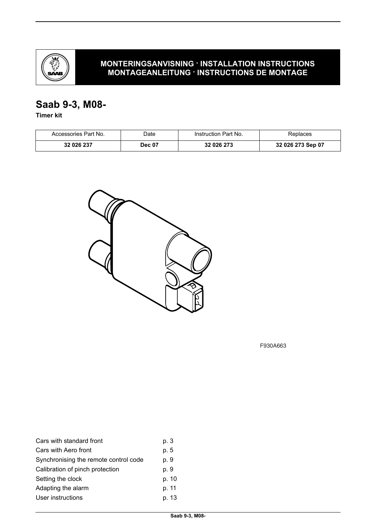

## **MONTERINGSANVISNING · INSTALLATION INSTRUCTIONS MONTAGEANLEITUNG · INSTRUCTIONS DE MONTAGE**

# **Saab 9-3, M08-**

**Timer kit**

| Accessories Part No. | Date:         | Instruction Part No. | Replaces          |
|----------------------|---------------|----------------------|-------------------|
| 32 026 237           | <b>Dec 07</b> | 32 026 273           | 32 026 273 Sep 07 |



F930A663

| p. 3  |
|-------|
| p. 5  |
| p. 9  |
| p. 9  |
| p. 10 |
| p. 11 |
| p. 13 |
|       |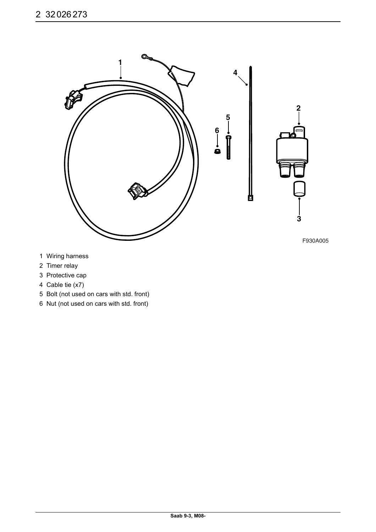

- 1 Wiring harness
- 2 Timer relay
- 3 Protective cap
- 4 Cable tie (x7)
- 5 Bolt (not used on cars with std. front)
- 6 Nut (not used on cars with std. front)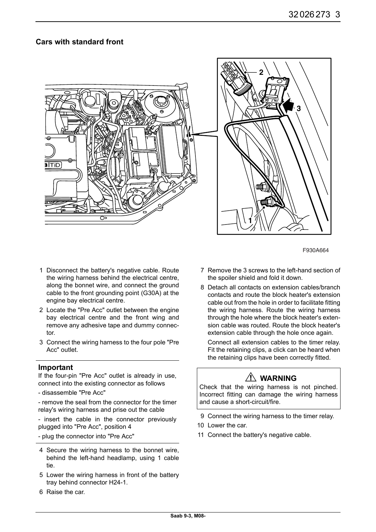## **Cars with standard front**





F930A664

- 1 Disconnect the battery's negative cable. Route the wiring harness behind the electrical centre, along the bonnet wire, and connect the ground cable to the front grounding point (G30A) at the engine bay electrical centre.
- 2 Locate the "Pre Acc" outlet between the engine bay electrical centre and the front wing and remove any adhesive tape and dummy connector.
- 3 Connect the wiring harness to the four pole "Pre Acc" outlet.

#### **Important**

If the four-pin "Pre Acc" outlet is already in use, connect into the existing connector as follows

- disassemble "Pre Acc"

- remove the seal from the connector for the timer relay's wiring harness and prise out the cable

- insert the cable in the connector previously plugged into "Pre Acc", position 4

- plug the connector into "Pre Acc"
- 4 Secure the wiring harness to the bonnet wire, behind the left-hand headlamp, using 1 cable tie.
- 5 Lower the wiring harness in front of the battery tray behind connector H24-1.
- 6 Raise the car.
- 7 Remove the 3 screws to the left-hand section of the spoiler shield and fold it down.
- 8 Detach all contacts on extension cables/branch contacts and route the block heater's extension cable out from the hole in order to facilitate fitting the wiring harness. Route the wiring harness through the hole where the block heater's extension cable was routed. Route the block heater's extension cable through the hole once again.

Connect all extension cables to the timer relay. Fit the retaining clips, a click can be heard when the retaining clips have been correctly fitted.

# **WARNING**

Check that the wiring harness is not pinched. Incorrect fitting can damage the wiring harness and cause a short-circuit/fire.

- 9 Connect the wiring harness to the timer relay.
- 10 Lower the car.
- 11 Connect the battery's negative cable.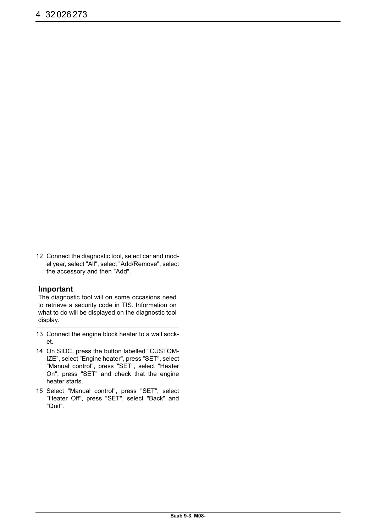12 Connect the diagnostic tool, select car and model year, select "All", select "Add/Remove", select the accessory and then "Add".

#### **Important**

The diagnostic tool will on some occasions need to retrieve a security code in TIS. Information on what to do will be displayed on the diagnostic tool display.

- 13 Connect the engine block heater to a wall socket.
- 14 On SIDC, press the button labelled "CUSTOM-IZE", select "Engine heater", press "SET", select "Manual control", press "SET", select "Heater On", press "SET" and check that the engine heater starts.
- 15 Select "Manual control", press "SET", select "Heater Off", press "SET", select "Back" and "Quit".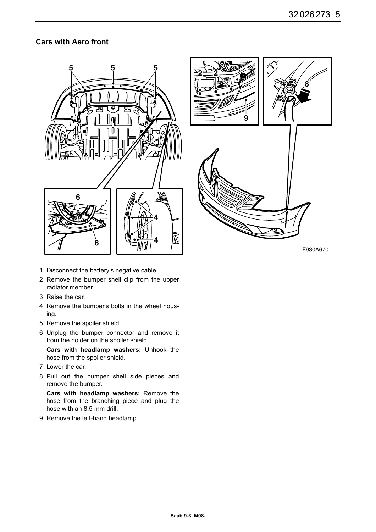## **Cars with Aero front**





F930A670

- 1 Disconnect the battery's negative cable.
- 2 Remove the bumper shell clip from the upper radiator member.
- 3 Raise the car.
- 4 Remove the bumper's bolts in the wheel housing.
- 5 Remove the spoiler shield.
- 6 Unplug the bumper connector and remove it from the holder on the spoiler shield.

**Cars with headlamp washers:** Unhook the hose from the spoiler shield.

- 7 Lower the car.
- 8 Pull out the bumper shell side pieces and remove the bumper.

**Cars with headlamp washers:** Remove the hose from the branching piece and plug the hose with an 8.5 mm drill.

9 Remove the left-hand headlamp.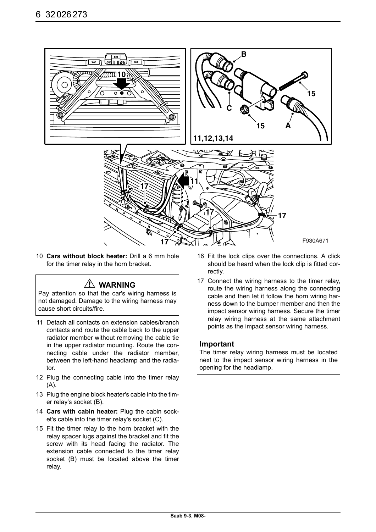

10 **Cars without block heater:** Drill a 6 mm hole for the timer relay in the horn bracket.

## **WARNING**

Pay attention so that the car's wiring harness is not damaged. Damage to the wiring harness may cause short circuits/fire.

- 11 Detach all contacts on extension cables/branch contacts and route the cable back to the upper radiator member without removing the cable tie in the upper radiator mounting. Route the connecting cable under the radiator member, between the left-hand headlamp and the radiator.
- 12 Plug the connecting cable into the timer relay  $(A)$ .
- 13 Plug the engine block heater's cable into the timer relay's socket (B).
- 14 **Cars with cabin heater:** Plug the cabin socket's cable into the timer relay's socket (C).
- 15 Fit the timer relay to the horn bracket with the relay spacer lugs against the bracket and fit the screw with its head facing the radiator. The extension cable connected to the timer relay socket (B) must be located above the timer relay.
- 16 Fit the lock clips over the connections. A click should be heard when the lock clip is fitted correctly.
- 17 Connect the wiring harness to the timer relay, route the wiring harness along the connecting cable and then let it follow the horn wiring harness down to the bumper member and then the impact sensor wiring harness. Secure the timer relay wiring harness at the same attachment points as the impact sensor wiring harness.

#### **Important**

The timer relay wiring harness must be located next to the impact sensor wiring harness in the opening for the headlamp.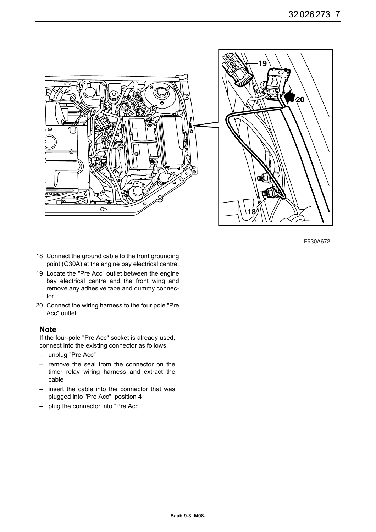

F930A672

- 18 Connect the ground cable to the front grounding point (G30A) at the engine bay electrical centre.
- 19 Locate the "Pre Acc" outlet between the engine bay electrical centre and the front wing and remove any adhesive tape and dummy connector.
- 20 Connect the wiring harness to the four pole "Pre Acc" outlet.

#### **Note**

If the four-pole "Pre Acc" socket is already used, connect into the existing connector as follows:

- unplug "Pre Acc"
- remove the seal from the connector on the timer relay wiring harness and extract the cable
- insert the cable into the connector that was plugged into "Pre Acc", position 4
- plug the connector into "Pre Acc"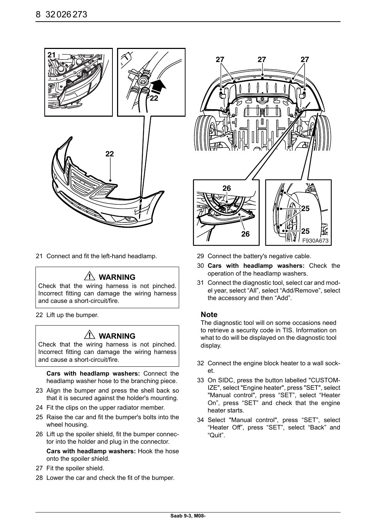

21 Connect and fit the left-hand headlamp.

## **WARNING**

Check that the wiring harness is not pinched. Incorrect fitting can damage the wiring harness and cause a short-circuit/fire.

22 Lift up the bumper.

## **WARNING**

Check that the wiring harness is not pinched. Incorrect fitting can damage the wiring harness and cause a short-circuit/fire.

**Cars with headlamp washers:** Connect the headlamp washer hose to the branching piece.

- 23 Align the bumper and press the shell back so that it is secured against the holder's mounting.
- 24 Fit the clips on the upper radiator member.
- 25 Raise the car and fit the bumper's bolts into the wheel housing.
- 26 Lift up the spoiler shield, fit the bumper connector into the holder and plug in the connector.

**Cars with headlamp washers:** Hook the hose onto the spoiler shield.

- 27 Fit the spoiler shield.
- 28 Lower the car and check the fit of the bumper.



- 29 Connect the battery's negative cable.
- 30 **Cars with headlamp washers:** Check the operation of the headlamp washers.
- 31 Connect the diagnostic tool, select car and model year, select "All", select "Add/Remove", select the accessory and then "Add".

#### **Note**

The diagnostic tool will on some occasions need to retrieve a security code in TIS. Information on what to do will be displayed on the diagnostic tool display.

- 32 Connect the engine block heater to a wall socket.
- 33 On SIDC, press the button labelled "CUSTOM-IZE", select "Engine heater", press "SET", select "Manual control", press "SET", select "Heater On", press "SET" and check that the engine heater starts.
- 34 Select "Manual control", press "SET", select "Heater Off", press "SET", select "Back" and "Quit".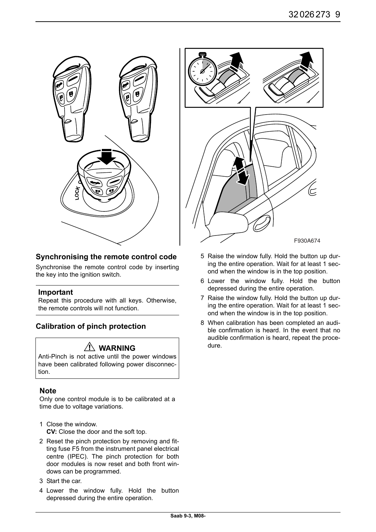

## **Synchronising the remote control code**

Synchronise the remote control code by inserting the key into the ignition switch.

### **Important**

Repeat this procedure with all keys. Otherwise, the remote controls will not function.

## **Calibration of pinch protection**

## **WARNING**

Anti-Pinch is not active until the power windows have been calibrated following power disconnection.

### **Note**

Only one control module is to be calibrated at a time due to voltage variations.

- 1 Close the window. **CV:** Close the door and the soft top.
- 2 Reset the pinch protection by removing and fitting fuse F5 from the instrument panel electrical centre (IPEC). The pinch protection for both door modules is now reset and both front windows can be programmed.
- 3 Start the car.
- 4 Lower the window fully. Hold the button depressed during the entire operation.



- 5 Raise the window fully. Hold the button up during the entire operation. Wait for at least 1 second when the window is in the top position.
- 6 Lower the window fully. Hold the button depressed during the entire operation.
- 7 Raise the window fully. Hold the button up during the entire operation. Wait for at least 1 second when the window is in the top position.
- 8 When calibration has been completed an audible confirmation is heard. In the event that no audible confirmation is heard, repeat the procedure.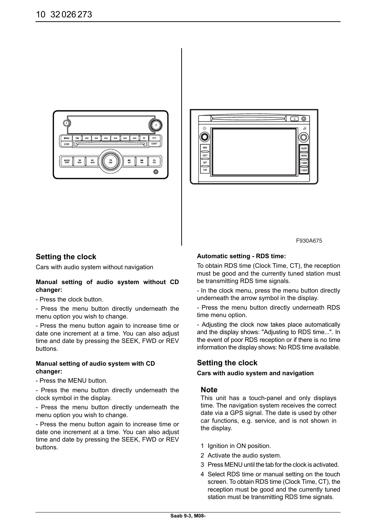



#### **Setting the clock**

Cars with audio system without navigation

#### **Manual setting of audio system without CD changer:**

- Press the clock button.

- Press the menu button directly underneath the menu option you wish to change.

- Press the menu button again to increase time or date one increment at a time. You can also adjust time and date by pressing the SEEK, FWD or REV buttons.

#### **Manual setting of audio system with CD changer:**

- Press the MENU button.

- Press the menu button directly underneath the clock symbol in the display.

- Press the menu button directly underneath the menu option you wish to change.

- Press the menu button again to increase time or date one increment at a time. You can also adjust time and date by pressing the SEEK, FWD or REV buttons.

F930A675

#### **Automatic setting - RDS time:**

To obtain RDS time (Clock Time, CT), the reception must be good and the currently tuned station must be transmitting RDS time signals.

- In the clock menu, press the menu button directly underneath the arrow symbol in the display.

- Press the menu button directly underneath RDS time menu option.

- Adjusting the clock now takes place automatically and the display shows: "Adjusting to RDS time...". In the event of poor RDS reception or if there is no time information the display shows: No RDS time available.

### **Setting the clock**

#### **Cars with audio system and navigation**

#### **Note**

This unit has a touch-panel and only displays time. The navigation system receives the correct date via a GPS signal. The date is used by other car functions, e.g. service, and is not shown in the display.

- 1 Ignition in ON position.
- 2 Activate the audio system.
- 3 Press MENU until the tab for the clock is activated.
- 4 Select RDS time or manual setting on the touch screen. To obtain RDS time (Clock Time, CT), the reception must be good and the currently tuned station must be transmitting RDS time signals.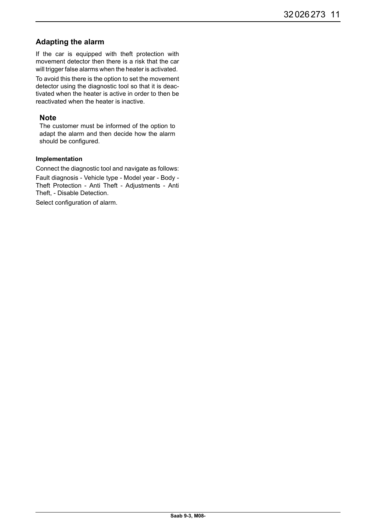## **Adapting the alarm**

If the car is equipped with theft protection with movement detector then there is a risk that the car will trigger false alarms when the heater is activated.

To avoid this there is the option to set the movement detector using the diagnostic tool so that it is deactivated when the heater is active in order to then be reactivated when the heater is inactive.

#### **Note**

The customer must be informed of the option to adapt the alarm and then decide how the alarm should be configured.

#### **Implementation**

Connect the diagnostic tool and navigate as follows:

Fault diagnosis - Vehicle type - Model year - Body - Theft Protection - Anti Theft - Adjustments - Anti Theft, - Disable Detection.

Select configuration of alarm.